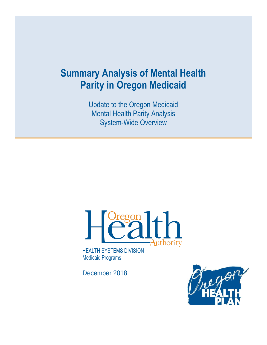# **Summary Analysis of Mental Health Parity in Oregon Medicaid**

Update to the Oregon Medicaid Mental Health Parity Analysis System-Wide Overview



HEALTH SYSTEMS DIVISION Medicaid Programs

December 2018

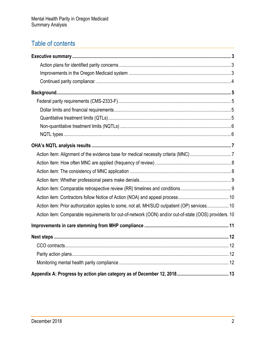## Table of contents

| Action item: Prior authorization applies to some, not all, MH/SUD outpatient (OP) services 10         |  |
|-------------------------------------------------------------------------------------------------------|--|
| Action item: Comparable requirements for out-of-network (OON) and/or out-of-state (OOS) providers. 10 |  |
|                                                                                                       |  |
|                                                                                                       |  |
|                                                                                                       |  |
|                                                                                                       |  |
|                                                                                                       |  |
|                                                                                                       |  |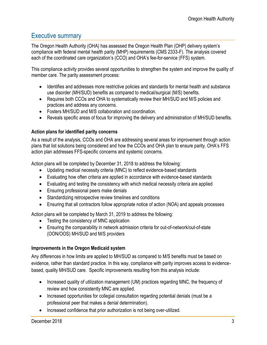## <span id="page-2-0"></span>Executive summary

The Oregon Health Authority (OHA) has assessed the Oregon Health Plan (OHP) delivery system's compliance with federal mental health parity (MHP) requirements (CMS 2333-F). The analysis covered each of the coordinated care organization's (CCO) and OHA's fee-for-service (FFS) system.

This compliance activity provides several opportunities to strengthen the system and improve the quality of member care. The parity assessment process:

- Identifies and addresses more restrictive policies and standards for mental health and substance use disorder (MH/SUD) benefits as compared to medical/surgical (M/S) benefits.
- Requires both CCOs and OHA to systematically review their MH/SUD and M/S policies and practices and address any concerns.
- Fosters MH/SUD and M/S collaboration and coordination
- Reveals specific areas of focus for improving the delivery and administration of MH/SUD benefits.

## <span id="page-2-1"></span>**Action plans for identified parity concerns**

As a result of the analysis, CCOs and OHA are addressing several areas for improvement through action plans that list solutions being considered and how the CCOs and OHA plan to ensure parity. OHA's FFS action plan addresses FFS-specific concerns and systemic concerns.

Action plans will be completed by December 31, 2018 to address the following:

- Updating medical necessity criteria (MNC) to reflect evidence-based standards
- Evaluating how often criteria are applied in accordance with evidence-based standards
- Evaluating and testing the consistency with which medical necessity criteria are applied
- Ensuring professional peers make denials
- Standardizing retrospective review timelines and conditions
- Ensuring that all contractors follow appropriate notice of action (NOA) and appeals processes

Action plans will be completed by March 31, 2019 to address the following:

- Testing the consistency of MNC application
- Ensuring the comparability in network admission criteria for out-of-network/out-of-state (OON/OOS) MH/SUD and M/S providers

## <span id="page-2-2"></span>**Improvements in the Oregon Medicaid system**

Any differences in how limits are applied to MH/SUD as compared to M/S benefits must be based on evidence, rather than standard practice. In this way, compliance with parity improves access to evidencebased, quality MH/SUD care. Specific improvements resulting from this analysis include:

- Increased quality of utilization management (UM) practices regarding MNC, the frequency of review and how consistently MNC are applied.
- Increased opportunities for collegial consultation regarding potential denials (must be a professional peer that makes a denial determination).
- Increased confidence that prior authorization is not being over-utilized.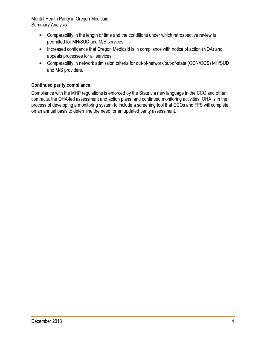- Comparability in the length of time and the conditions under which retrospective review is permitted for MH/SUD and M/S services.
- Increased confidence that Oregon Medicaid is in compliance with notice of action (NOA) and appeals processes for all services.
- Comparability in network admission criteria for out-of-network/out-of-state (OON/OOS) MH/SUD and M/S providers.

## <span id="page-3-0"></span>**Continued parity compliance:**

Compliance with the MHP regulations is enforced by the State via new language in the CCO and other contracts, the OHA-led assessment and action plans, and continued monitoring activities. OHA is in the process of developing a monitoring system to include a screening tool that CCOs and FFS will complete on an annual basis to determine the need for an updated parity assessment.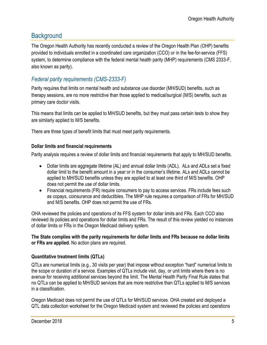## <span id="page-4-0"></span>**Background**

The Oregon Health Authority has recently conducted a review of the Oregon Health Plan (OHP) benefits provided to individuals enrolled in a coordinated care organization (CCO) or in the fee-for-service (FFS) system, to determine compliance with the federal mental health parity (MHP) requirements (CMS 2333-F, also known as parity).

## <span id="page-4-1"></span>*Federal parity requirements (CMS-2333-F)*

Parity requires that limits on mental health and substance use disorder (MH/SUD) benefits, such as therapy sessions, are no more restrictive than those applied to medical/surgical (M/S) benefits, such as primary care doctor visits.

This means that limits can be applied to MH/SUD benefits, but they must pass certain tests to show they are similarly applied to M/S benefits.

There are three types of benefit limits that must meet parity requirements.

## <span id="page-4-2"></span>**Dollar limits and financial requirements**

Parity analysis requires a review of dollar limits and financial requirements that apply to MH/SUD benefits.

- Dollar limits are aggregate lifetime (AL) and annual dollar limits (ADL). ALs and ADLs set a fixed dollar limit to the benefit amount in a year or in the consumer's lifetime. ALs and ADLs cannot be applied to MH/SUD benefits unless they are applied to at least one third of M/S benefits. OHP does not permit the use of dollar limits.
- Financial requirements (FR) require consumers to pay to access services. FRs include fees such as copays, coinsurance and deductibles. The MHP rule requires a comparison of FRs for MH/SUD and M/S benefits. OHP does not permit the use of FRs.

OHA reviewed the policies and operations of its FFS system for dollar limits and FRs. Each CCO also reviewed its policies and operations for dollar limits and FRs. The result of this review yielded no instances of dollar limits or FRs in the Oregon Medicaid delivery system.

#### **The State complies with the parity requirements for dollar limits and FRs because no dollar limits or FRs are applied.** No action plans are required.

## <span id="page-4-3"></span>**Quantitative treatment limits (QTLs)**

QTLs are numerical limits (e.g., 30 visits per year) that impose without exception "hard" numerical limits to the scope or duration of a service. Examples of QTLs include visit, day, or unit limits where there is no avenue for receiving additional services beyond the limit. The Mental Health Parity Final Rule states that no QTLs can be applied to MH/SUD services that are more restrictive than QTLs applied to M/S services in a classification.

Oregon Medicaid does not permit the use of QTLs for MH/SUD services. OHA created and deployed a QTL data collection worksheet for the Oregon Medicaid system and reviewed the policies and operations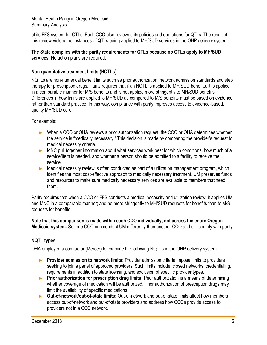of its FFS system for QTLs. Each CCO also reviewed its policies and operations for QTLs. The result of this review yielded no instances of QTLs being applied to MH/SUD services in the OHP delivery system.

#### **The State complies with the parity requirements for QTLs because no QTLs apply to MH/SUD services.** No action plans are required.

## <span id="page-5-0"></span>**Non-quantitative treatment limits (NQTLs)**

NQTLs are non-numerical benefit limits such as prior authorization, network admission standards and step therapy for prescription drugs. Parity requires that if an NQTL is applied to MH/SUD benefits, it is applied in a comparable manner for M/S benefits and is not applied more stringently to MH/SUD benefits. Differences in how limits are applied to MH/SUD as compared to M/S benefits must be based on evidence, rather than standard practice. In this way, compliance with parity improves access to evidence-based, quality MH/SUD care.

For example:

- ► When a CCO or OHA reviews a prior authorization request, the CCO or OHA determines whether the service is "medically necessary." This decision is made by comparing the provider's request to medical necessity criteria.
- ► MNC pull together information about what services work best for which conditions, how much of a service/item is needed, and whether a person should be admitted to a facility to receive the service.
- ► Medical necessity review is often conducted as part of a utilization management program, which identifies the most cost-effective approach to medically necessary treatment. UM preserves funds and resources to make sure medically necessary services are available to members that need them.

Parity requires that when a CCO or FFS conducts a medical necessity and utilization review, it applies UM and MNC in a comparable manner; and no more stringently to MH/SUD requests for benefits than to M/S requests for benefits.

**Note that this comparison is made within each CCO individually, not across the entire Oregon Medicaid system.** So, one CCO can conduct UM differently than another CCO and still comply with parity.

## <span id="page-5-1"></span>**NQTL types**

OHA employed a contractor (Mercer) to examine the following NQTLs in the OHP delivery system:

- ► **Provider admission to network limits:** Provider admission criteria impose limits to providers seeking to join a panel of approved providers. Such limits include: closed networks, credentialing, requirements in addition to state licensing, and exclusion of specific provider types.
- ► **Prior authorization for prescription drug limits:** Prior authorization is a means of determining whether coverage of medication will be authorized. Prior authorization of prescription drugs may limit the availability of specific medications.
- ► **Out-of-network/out-of-state limits:** Out-of-network and out-of-state limits affect how members access out-of-network and out-of-state providers and address how CCOs provide access to providers not in a CCO network.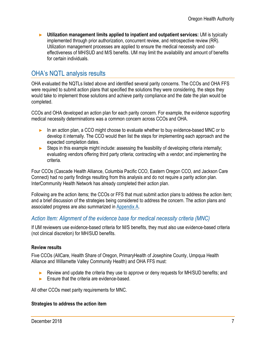► **Utilization management limits applied to inpatient and outpatient services:** UM is typically implemented through prior authorization, concurrent review, and retrospective review (RR). Utilization management processes are applied to ensure the medical necessity and costeffectiveness of MH/SUD and M/S benefits. UM may limit the availability and amount of benefits for certain individuals.

## <span id="page-6-0"></span>OHA's NQTL analysis results

OHA evaluated the NQTLs listed above and identified several parity concerns. The CCOs and OHA FFS were required to submit action plans that specified the solutions they were considering, the steps they would take to implement those solutions and achieve parity compliance and the date the plan would be completed.

CCOs and OHA developed an action plan for each parity concern. For example, the evidence supporting medical necessity determinations was a common concern across CCOs and OHA.

- ► In an action plan, a CCO might choose to evaluate whether to buy evidence-based MNC or to develop it internally. The CCO would then list the steps for implementing each approach and the expected completion dates.
- $\blacktriangleright$  Steps in this example might include: assessing the feasibility of developing criteria internally; evaluating vendors offering third party criteria; contracting with a vendor; and implementing the criteria.

Four CCOs (Cascade Health Alliance, Columbia Pacific CCO, Eastern Oregon CCO, and Jackson Care Connect) had no parity findings resulting from this analysis and do not require a parity action plan. InterCommunity Health Network has already completed their action plan.

Following are the action items; the CCOs or FFS that must submit action plans to address the action item; and a brief discussion of the strategies being considered to address the concern. The action plans and associated progress are also summarized in [Appendix A.](#page-12-0)

## <span id="page-6-1"></span>*Action Item: Alignment of the evidence base for medical necessity criteria (MNC)*

If UM reviewers use evidence-based criteria for M/S benefits, they must also use evidence-based criteria (not clinical discretion) for MH/SUD benefits.

## **Review results**

Five CCOs (AllCare, Health Share of Oregon, PrimaryHealth of Josephine County, Umpqua Health Alliance and Willamette Valley Community Health) and OHA FFS must:

- ► Review and update the criteria they use to approve or deny requests for MH/SUD benefits; and
- ► Ensure that the criteria are evidence-based.

All other CCOs meet parity requirements for MNC.

#### **Strategies to address the action item**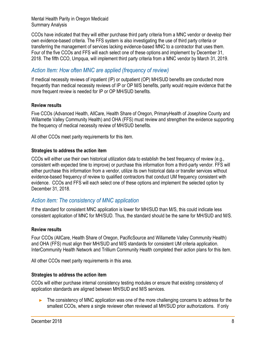CCOs have indicated that they will either purchase third party criteria from a MNC vendor or develop their own evidence-based criteria. The FFS system is also investigating the use of third party criteria or transferring the management of services lacking evidence-based MNC to a contractor that uses them. Four of the five CCOs and FFS will each select one of these options and implement by December 31, 2018. The fifth CCO, Umpqua, will implement third party criteria from a MNC vendor by March 31, 2019.

## <span id="page-7-0"></span>*Action Item: How often MNC are applied (frequency of review)*

If medical necessity reviews of inpatient (IP) or outpatient (OP) MH/SUD benefits are conducted more frequently than medical necessity reviews of IP or OP M/S benefits, parity would require evidence that the more frequent review is needed for IP or OP MH/SUD benefits.

## **Review results**

Five CCOs (Advanced Health, AllCare, Health Share of Oregon, PrimaryHealth of Josephine County and Willamette Valley Community Health) and OHA (FFS) must review and strengthen the evidence supporting the frequency of medical necessity review of MH/SUD benefits.

All other CCOs meet parity requirements for this item.

#### **Strategies to address the action item**

CCOs will either use their own historical utilization data to establish the best frequency of review (e.g., consistent with expected time to improve) or purchase this information from a third-party vendor. FFS will either purchase this information from a vendor, utilize its own historical data or transfer services without evidence-based frequency of review to qualified contractors that conduct UM frequency consistent with evidence. CCOs and FFS will each select one of these options and implement the selected option by December 31, 2018.

## <span id="page-7-1"></span>*Action item: The consistency of MNC application*

If the standard for consistent MNC application is lower for MH/SUD than M/S, this could indicate less consistent application of MNC for MH/SUD. Thus, the standard should be the same for MH/SUD and M/S.

#### **Review results**

Four CCOs (AllCare, Health Share of Oregon, PacificSource and Willamette Valley Community Health) and OHA (FFS) must align their MH/SUD and M/S standards for consistent UM criteria application. InterCommunity Health Network and Trillium Community Health completed their action plans for this item.

All other CCOs meet parity requirements in this area.

## **Strategies to address the action item**

CCOs will either purchase internal consistency testing modules or ensure that existing consistency of application standards are aligned between MH/SUD and M/S services.

► The consistency of MNC application was one of the more challenging concerns to address for the smallest CCOs, where a single reviewer often reviewed all MH/SUD prior authorizations. If only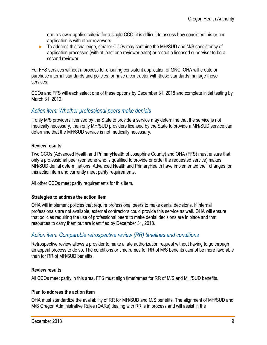one reviewer applies criteria for a single CCO, it is difficult to assess how consistent his or her application is with other reviewers.

► To address this challenge, smaller CCOs may combine the MH/SUD and M/S consistency of application processes (with at least one reviewer each) or recruit a licensed supervisor to be a second reviewer.

For FFS services without a process for ensuring consistent application of MNC, OHA will create or purchase internal standards and policies, or have a contractor with these standards manage those services.

CCOs and FFS will each select one of these options by December 31, 2018 and complete initial testing by March 31, 2019.

## <span id="page-8-0"></span>*Action item: Whether professional peers make denials*

If only M/S providers licensed by the State to provide a service may determine that the service is not medically necessary, then only MH/SUD providers licensed by the State to provide a MH/SUD service can determine that the MH/SUD service is not medically necessary.

## **Review results**

Two CCOs (Advanced Health and PrimaryHealth of Josephine County) and OHA (FFS) must ensure that only a professional peer (someone who is qualified to provide or order the requested service) makes MH/SUD denial determinations. Advanced Health and PrimaryHealth have implemented their changes for this action item and currently meet parity requirements.

All other CCOs meet parity requirements for this item.

#### **Strategies to address the action item**

OHA will implement policies that require professional peers to make denial decisions. If internal professionals are not available, external contractors could provide this service as well. OHA will ensure that policies requiring the use of professional peers to make denial decisions are in place and that resources to carry them out are identified by December 31, 2018.

## <span id="page-8-1"></span>*Action item: Comparable retrospective review (RR) timelines and conditions*

Retrospective review allows a provider to make a late authorization request without having to go through an appeal process to do so. The conditions or timeframes for RR of M/S benefits cannot be more favorable than for RR of MH/SUD benefits.

#### **Review results**

All CCOs meet parity in this area. FFS must align timeframes for RR of M/S and MH/SUD benefits.

## **Plan to address the action item**

OHA must standardize the availability of RR for MH/SUD and M/S benefits. The alignment of MH/SUD and M/S Oregon Administrative Rules (OARs) dealing with RR is in process and will assist in the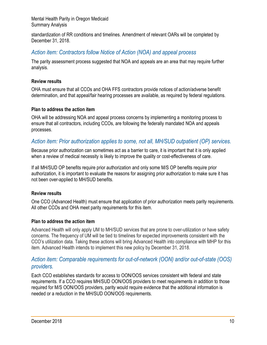standardization of RR conditions and timelines. Amendment of relevant OARs will be completed by December 31, 2018.

## <span id="page-9-0"></span>*Action item: Contractors follow Notice of Action (NOA) and appeal process*

The parity assessment process suggested that NOA and appeals are an area that may require further analysis.

#### **Review results**

OHA must ensure that all CCOs and OHA FFS contractors provide notices of action/adverse benefit determination, and that appeal/fair hearing processes are available, as required by federal regulations.

#### **Plan to address the action item**

OHA will be addressing NOA and appeal process concerns by implementing a monitoring process to ensure that all contractors, including CCOs, are following the federally mandated NOA and appeals processes.

## <span id="page-9-1"></span>*Action item: Prior authorization applies to some, not all, MH/SUD outpatient (OP) services.*

Because prior authorization can sometimes act as a barrier to care, it is important that it is only applied when a review of medical necessity is likely to improve the quality or cost-effectiveness of care.

If all MH/SUD OP benefits require prior authorization and only some M/S OP benefits require prior authorization, it is important to evaluate the reasons for assigning prior authorization to make sure it has not been over-applied to MH/SUD benefits.

## **Review results**

One CCO (Advanced Health) must ensure that application of prior authorization meets parity requirements. All other CCOs and OHA meet parity requirements for this item.

#### **Plan to address the action item**

Advanced Health will only apply UM to MH/SUD services that are prone to over-utilization or have safety concerns. The frequency of UM will be tied to timelines for expected improvements consistent with the CCO's utilization data. Taking these actions will bring Advanced Health into compliance with MHP for this item. Advanced Health intends to implement this new policy by December 31, 2018.

## <span id="page-9-2"></span>*Action item: Comparable requirements for out-of-network (OON) and/or out-of-state (OOS) providers.*

Each CCO establishes standards for access to OON/OOS services consistent with federal and state requirements. If a CCO requires MH/SUD OON/OOS providers to meet requirements in addition to those required for M/S OON/OOS providers, parity would require evidence that the additional information is needed or a reduction in the MH/SUD OON/OOS requirements.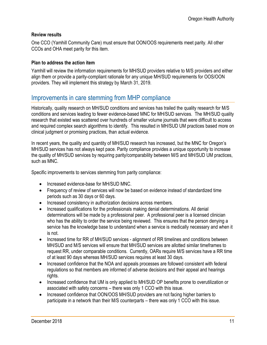#### **Review results**

One CCO (Yamhill Community Care) must ensure that OON/OOS requirements meet parity. All other CCOs and OHA meet parity for this item.

#### **Plan to address the action item**

Yamhill will review the information requirements for MH/SUD providers relative to M/S providers and either align them or provide a parity-compliant rationale for any unique MH/SUD requirements for OOS/OON providers. They will implement this strategy by March 31, 2019.

## <span id="page-10-0"></span>Improvements in care stemming from MHP compliance

Historically, quality research on MH/SUD conditions and services has trailed the quality research for M/S conditions and services leading to fewer evidence-based MNC for MH/SUD services. The MH/SUD quality research that existed was scattered over hundreds of smaller volume journals that were difficult to access and required complex search algorithms to identify. This resulted in MH/SUD UM practices based more on clinical judgment or promising practices, than actual evidence.

In recent years, the quality and quantity of MH/SUD research has increased, but the MNC for Oregon's MH/SUD services has not always kept pace. Parity compliance provides a unique opportunity to increase the quality of MH/SUD services by requiring parity/comparability between M/S and MH/SUD UM practices, such as MNC.

Specific improvements to services stemming from parity compliance:

- Increased evidence-base for MH/SUD MNC.
- Frequency of review of services will now be based on evidence instead of standardized time periods such as 30 days or 60 days.
- Increased consistency in authorization decisions across members.
- Increased qualifications for the professionals making denial determinations. All denial determinations will be made by a professional peer. A professional peer is a licensed clinician who has the ability to order the service being reviewed. This ensures that the person denying a service has the knowledge base to understand when a service is medically necessary and when it is not.
- Increased time for RR of MH/SUD services alignment of RR timelines and conditions between MH/SUD and M/S services will ensure that MH/SUD services are allotted similar timeframes to request RR, under comparable conditions. Currently, OARs require M/S services have a RR time of at least 90 days whereas MH/SUD services requires at least 30 days.
- Increased confidence that the NOA and appeals processes are followed consistent with federal regulations so that members are informed of adverse decisions and their appeal and hearings rights.
- Increased confidence that UM is only applied to MH/SUD OP benefits prone to overutilization or associated with safety concerns – there was only 1 CCO with this issue.
- Increased confidence that OON/OOS MH/SUD providers are not facing higher barriers to participate in a network than their M/S counterparts – there was only 1 CCO with this issue.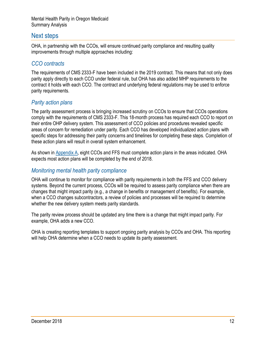## <span id="page-11-0"></span>Next steps

OHA, in partnership with the CCOs, will ensure continued parity compliance and resulting quality improvements through multiple approaches including:

## <span id="page-11-1"></span>*CCO contracts*

The requirements of CMS 2333-F have been included in the 2019 contract. This means that not only does parity apply directly to each CCO under federal rule, but OHA has also added MHP requirements to the contract it holds with each CCO. The contract and underlying federal regulations may be used to enforce parity requirements.

## <span id="page-11-2"></span>*Parity action plans*

The parity assessment process is bringing increased scrutiny on CCOs to ensure that CCOs operations comply with the requirements of CMS 2333-F. This 18-month process has required each CCO to report on their entire OHP delivery system. This assessment of CCO policies and procedures revealed specific areas of concern for remediation under parity. Each CCO has developed individualized action plans with specific steps for addressing their parity concerns and timelines for completing these steps. Completion of these action plans will result in overall system enhancement.

As shown in [Appendix A,](#page-12-0) eight CCOs and FFS must complete action plans in the areas indicated. OHA expects most action plans will be completed by the end of 2018.

## <span id="page-11-3"></span>*Monitoring mental health parity compliance*

OHA will continue to monitor for compliance with parity requirements in both the FFS and CCO delivery systems. Beyond the current process, CCOs will be required to assess parity compliance when there are changes that might impact parity (e.g., a change in benefits or management of benefits). For example, when a CCO changes subcontractors, a review of policies and processes will be required to determine whether the new delivery system meets parity standards.

The parity review process should be updated any time there is a change that might impact parity. For example, OHA adds a new CCO.

OHA is creating reporting templates to support ongoing parity analysis by CCOs and OHA. This reporting will help OHA determine when a CCO needs to update its parity assessment.